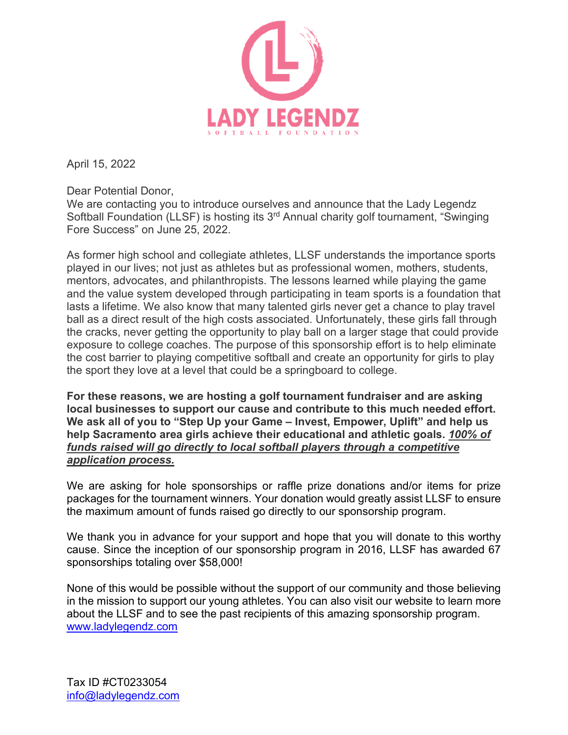

April 15, 2022

Dear Potential Donor,

We are contacting you to introduce ourselves and announce that the Lady Legendz Softball Foundation (LLSF) is hosting its 3<sup>rd</sup> Annual charity golf tournament, "Swinging Fore Success" on June 25, 2022.

As former high school and collegiate athletes, LLSF understands the importance sports played in our lives; not just as athletes but as professional women, mothers, students, mentors, advocates, and philanthropists. The lessons learned while playing the game and the value system developed through participating in team sports is a foundation that lasts a lifetime. We also know that many talented girls never get a chance to play travel ball as a direct result of the high costs associated. Unfortunately, these girls fall through the cracks, never getting the opportunity to play ball on a larger stage that could provide exposure to college coaches. The purpose of this sponsorship effort is to help eliminate the cost barrier to playing competitive softball and create an opportunity for girls to play the sport they love at a level that could be a springboard to college.

**For these reasons, we are hosting a golf tournament fundraiser and are asking local businesses to support our cause and contribute to this much needed effort. We ask all of you to "Step Up your Game – Invest, Empower, Uplift" and help us help Sacramento area girls achieve their educational and athletic goals.** *100% of funds raised will go directly to local softball players through a competitive application process.*

We are asking for hole sponsorships or raffle prize donations and/or items for prize packages for the tournament winners. Your donation would greatly assist LLSF to ensure the maximum amount of funds raised go directly to our sponsorship program.

We thank you in advance for your support and hope that you will donate to this worthy cause. Since the inception of our sponsorship program in 2016, LLSF has awarded 67 sponsorships totaling over \$58,000!

None of this would be possible without the support of our community and those believing in the mission to support our young athletes. You can also visit our website to learn more about the LLSF and to see the past recipients of this amazing sponsorship program. [www.ladylegendz.com](http://www.ladylegendz.com/)